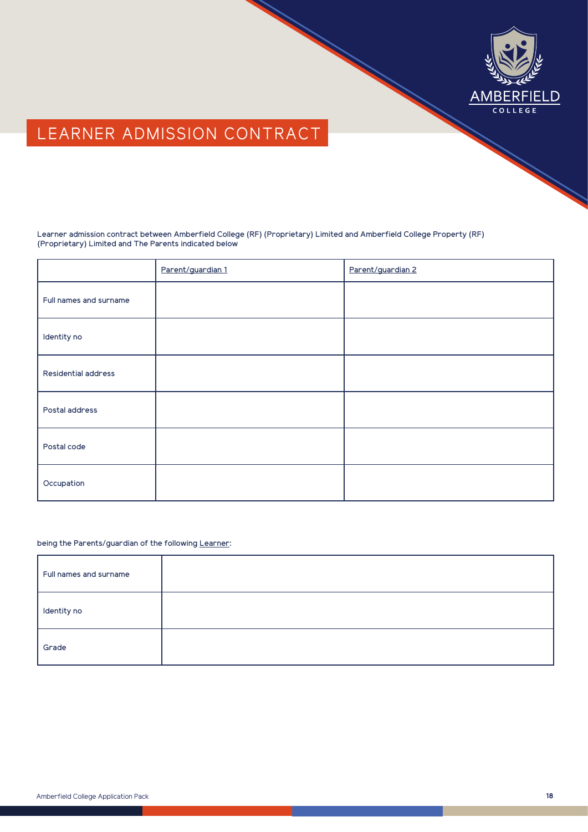

# LEARNER ADMISSION CONTRACT

Learner admission contract between Amberfield College (RF) (Proprietary) Limited and Amberfield College Property (RF) (Proprietary) Limited and The Parents indicated below

|                        | Parent/guardian 1 | Parent/guardian 2 |
|------------------------|-------------------|-------------------|
| Full names and surname |                   |                   |
| Identity no            |                   |                   |
| Residential address    |                   |                   |
| Postal address         |                   |                   |
| Postal code            |                   |                   |
| Occupation             |                   |                   |

### being the Parents/guardian of the following Learner:

| Full names and surname |  |
|------------------------|--|
| Identity no            |  |
| Grade                  |  |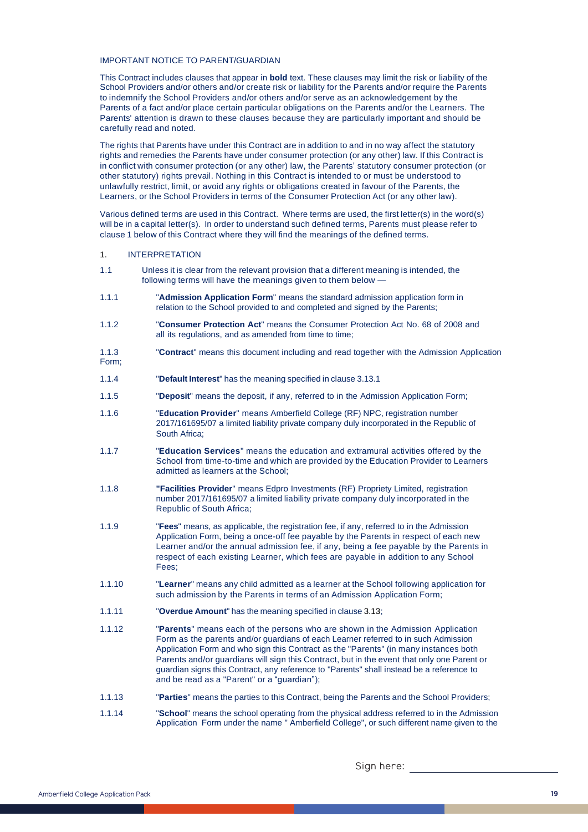#### IMPORTANT NOTICE TO PARENT/GUARDIAN

This Contract includes clauses that appear in **bold** text. These clauses may limit the risk or liability of the School Providers and/or others and/or create risk or liability for the Parents and/or require the Parents to indemnify the School Providers and/or others and/or serve as an acknowledgement by the Parents of a fact and/or place certain particular obligations on the Parents and/or the Learners. The Parents' attention is drawn to these clauses because they are particularly important and should be carefully read and noted.

The rights that Parents have under this Contract are in addition to and in no way affect the statutory rights and remedies the Parents have under consumer protection (or any other) law. If this Contract is in conflict with consumer protection (or any other) law, the Parents' statutory consumer protection (or other statutory) rights prevail. Nothing in this Contract is intended to or must be understood to unlawfully restrict, limit, or avoid any rights or obligations created in favour of the Parents, the Learners, or the School Providers in terms of the Consumer Protection Act (or any other law).

Various defined terms are used in this Contract. Where terms are used, the first letter(s) in the word(s) will be in a capital letter(s). In order to understand such defined terms, Parents must please refer to clause 1 below of this Contract where they will find the meanings of the defined terms.

#### 1. INTERPRETATION

- 1.1 Unless it is clear from the relevant provision that a different meaning is intended, the following terms will have the meanings given to them below –
- 1.1.1 "**Admission Application Form**" means the standard admission application form in relation to the School provided to and completed and signed by the Parents;
- 1.1.2 "**Consumer Protection Act**" means the Consumer Protection Act No. 68 of 2008 and all its regulations, and as amended from time to time;
- 1.1.3 Form; "**Contract**" means this document including and read together with the Admission Application
- 1.1.4 "**Default Interest**" has the meaning specified in clause 3.13.1
- 1.1.5 "**Deposit**" means the deposit, if any, referred to in the Admission Application Form;
- 1.1.6 "**Education Provider**" means Amberfield College (RF) NPC, registration number 2017/161695/07 a limited liability private company duly incorporated in the Republic of South Africa;
- 1.1.7 "**Education Services**" means the education and extramural activities offered by the School from time-to-time and which are provided by the Education Provider to Learners admitted as learners at the School;
- 1.1.8 **"Facilities Provider**" means Edpro Investments (RF) Propriety Limited, registration number 2017/161695/07 a limited liability private company duly incorporated in the Republic of South Africa;
- 1.1.9 "**Fees**" means, as applicable, the registration fee, if any, referred to in the Admission Application Form, being a once-off fee payable by the Parents in respect of each new Learner and/or the annual admission fee, if any, being a fee payable by the Parents in respect of each existing Learner, which fees are payable in addition to any School Fees;
- 1.1.10 "**Learner**" means any child admitted as a learner at the School following application for such admission by the Parents in terms of an Admission Application Form;
- 1.1.11 "**Overdue Amount**" has the meaning specified in clause 3.13;
- 1.1.12 "**Parents**" means each of the persons who are shown in the Admission Application Form as the parents and/or guardians of each Learner referred to in such Admission Application Form and who sign this Contract as the "Parents" (in many instances both Parents and/or guardians will sign this Contract, but in the event that only one Parent or guardian signs this Contract, any reference to "Parents" shall instead be a reference to and be read as a "Parent" or a "guardian");
- 1.1.13 "**Parties**" means the parties to this Contract, being the Parents and the School Providers;
- 1.1.14 "**School**" means the school operating from the physical address referred to in the Admission Application Form under the name " Amberfield College", or such different name given to the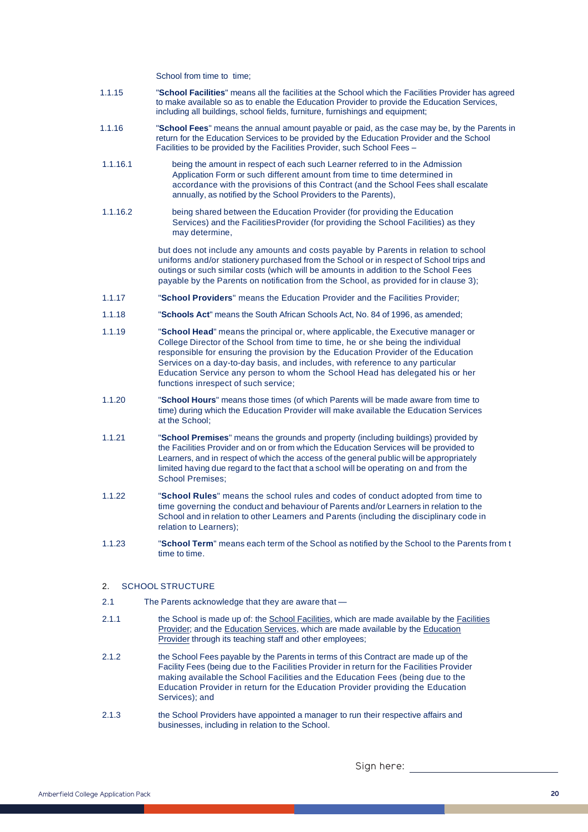School from time to time:

- 1.1.15 "**School Facilities**" means all the facilities at the School which the Facilities Provider has agreed to make available so as to enable the Education Provider to provide the Education Services, including all buildings, school fields, furniture, furnishings and equipment;
- 1.1.16 "**School Fees**" means the annual amount payable or paid, as the case may be, by the Parents in return for the Education Services to be provided by the Education Provider and the School Facilities to be provided by the Facilities Provider, such School Fees –
- 1.1.16.1 being the amount in respect of each such Learner referred to in the Admission Application Form or such different amount from time to time determined in accordance with the provisions of this Contract (and the School Fees shall escalate annually, as notified by the School Providers to the Parents),
- 1.1.16.2 being shared between the Education Provider (for providing the Education Services) and the Facilities Provider (for providing the School Facilities) as they may determine,

but does not include any amounts and costs payable by Parents in relation to school uniforms and/or stationery purchased from the School or in respect of School trips and outings or such similar costs (which will be amounts in addition to the School Fees payable by the Parents on notification from the School, as provided for in clause 3);

- 1.1.17 "**School Providers**" means the Education Provider and the Facilities Provider;
- 1.1.18 "**Schools Act**" means the South African Schools Act, No. 84 of 1996, as amended;
- 1.1.19 "**School Head**" means the principal or, where applicable, the Executive manager or College Director of the School from time to time, he or she being the individual responsible for ensuring the provision by the Education Provider of the Education Services on a day-to-day basis, and includes, with reference to any particular Education Service any person to whom the School Head has delegated his or her functions in respect of such service;
- 1.1.20 "**School Hours**" means those times (of which Parents will be made aware from time to time) during which the Education Provider will make available the Education Services at the School;
- 1.1.21 "**School Premises**" means the grounds and property (including buildings) provided by the Facilities Provider and on or from which the Education Services will be provided to Learners, and in respect of which the access of the general public will be appropriately limited having due regard to the fact that a school will be operating on and from the School Premises;
- 1.1.22 "**School Rules**" means the school rules and codes of conduct adopted from time to time governing the conduct and behaviour of Parents and/or Learners in relation to the School and in relation to other Learners and Parents (including the disciplinary code in relation to Learners);
- 1.1.23 "**School Term**" means each term of the School as notified by the School to the Parents from t time to time.

## 2. SCHOOL STRUCTURE

- 2.1 The Parents acknowledge that they are aware that —
- 2.1.1 the School is made up of: the School Facilities, which are made available by the Facilities Provider; and the Education Services, which are made available by the Education Provider through its teaching staff and other employees;
- 2.1.2 the School Fees payable by the Parents in terms of this Contract are made up of the Facility Fees (being due to the Facilities Provider in return for the Facilities Provider making available the School Facilities and the Education Fees (being due to the Education Provider in return for the Education Provider providing the Education Services); and
- 2.1.3 the School Providers have appointed a manager to run their respective affairs and businesses, including in relation to the School.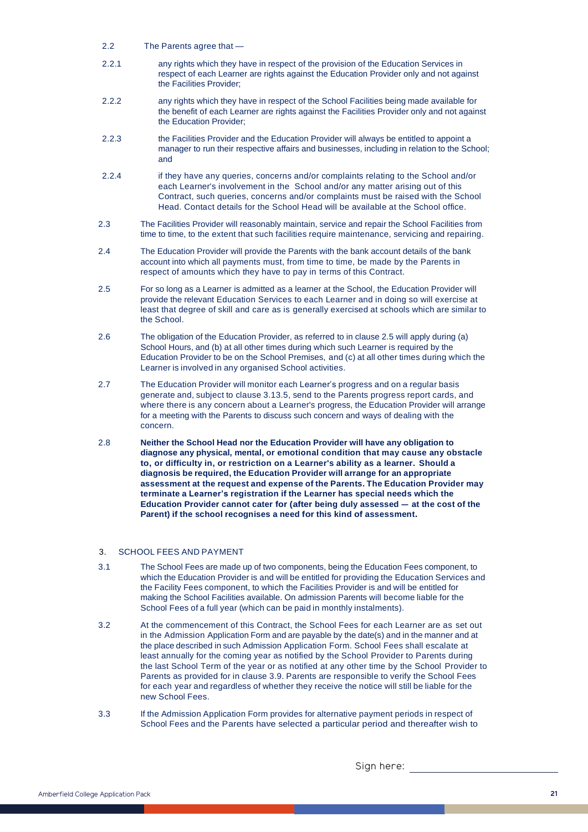- 2.2 The Parents agree that -
- 2.2.1 any rights which they have in respect of the provision of the Education Services in respect of each Learner are rights against the Education Provider only and not against the Facilities Provider;
- 2.2.2 any rights which they have in respect of the School Facilities being made available for the benefit of each Learner are rights against the Facilities Provider only and not against the Education Provider;
- 2.2.3 the Facilities Provider and the Education Provider will always be entitled to appoint a manager to run their respective affairs and businesses, including in relation to the School; and
- 2.2.4 if they have any queries, concerns and/or complaints relating to the School and/or each Learner's involvement in the School and/or any matter arising out of this Contract, such queries, concerns and/or complaints must be raised with the School Head. Contact details for the School Head will be available at the School office.
- 2.3 The Facilities Provider will reasonably maintain, service and repair the School Facilities from time to time, to the extent that such facilities require maintenance, servicing and repairing.
- 2.4 The Education Provider will provide the Parents with the bank account details of the bank account into which all payments must, from time to time, be made by the Parents in respect of amounts which they have to pay in terms of this Contract.
- 2.5 For so long as a Learner is admitted as a learner at the School, the Education Provider will provide the relevant Education Services to each Learner and in doing so will exercise at least that degree of skill and care as is generally exercised at schools which are similar to the School.
- 2.6 The obligation of the Education Provider, as referred to in clause 2.5 will apply during (a) School Hours, and (b) at all other times during which such Learner is required by the Education Provider to be on the School Premises, and (c) at all other times during which the Learner is involved in any organised School activities.
- 2.7 The Education Provider will monitor each Learner's progress and on a regular basis generate and, subject to clause 3.13.5, send to the Parents progress report cards, and where there is any concern about a Learner's progress, the Education Provider will arrange for a meeting with the Parents to discuss such concern and ways of dealing with the concern.
- 2.8 **Neither the School Head nor the Education Provider will have any obligation to diagnose any physical, mental, or emotional condition that may cause any obstacle to, or difficulty in, or restriction on a Learner's ability as a learner. Should a diagnosis be required, the Education Provider will arrange for an appropriate assessment at the request and expense of the Parents. The Education Provider may terminate a Learner's registration if the Learner has special needs which the Education Provider cannot cater for (after being duly assessed – at the cost of the Parent) if the school recognises a need for this kind of assessment.**

### 3. SCHOOL FEES AND PAYMENT

- 3.1 The School Fees are made up of two components, being the Education Fees component, to which the Education Provider is and will be entitled for providing the Education Services and the Facility Fees component, to which the Facilities Provider is and will be entitled for making the School Facilities available. On admission Parents will become liable for the School Fees of a full year (which can be paid in monthly instalments).
- 3.2 At the commencement of this Contract, the School Fees for each Learner are as set out in the Admission Application Form and are payable by the date(s) and in the manner and at the place described in such Admission Application Form. School Fees shall escalate at least annually for the coming year as notified by the School Provider to Parents during the last School Term of the year or as notified at any other time by the School Provider to Parents as provided for in clause 3.9. Parents are responsible to verify the School Fees for each year and regardless of whether they receive the notice will still be liable for the new School Fees.
- 3.3 If the Admission Application Form provides for alternative payment periods in respect of School Fees and the Parents have selected a particular period and thereafter wish to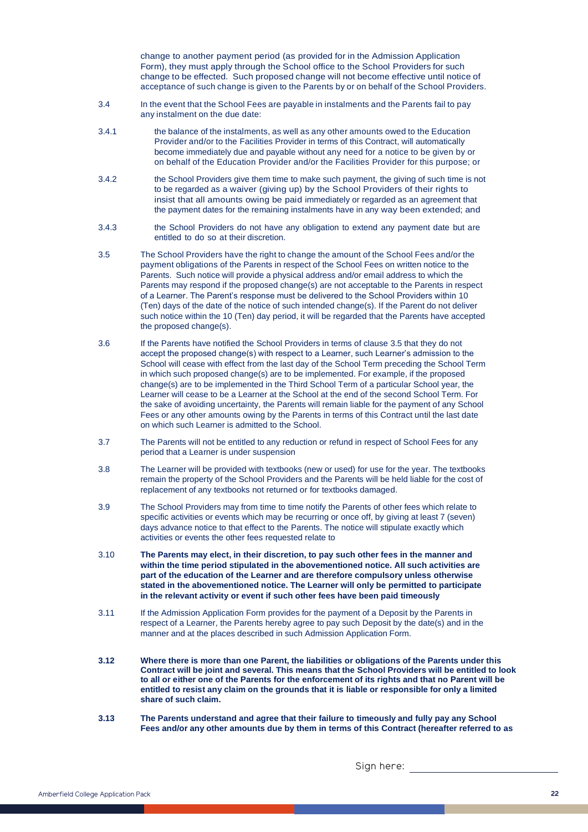change to another payment period (as provided for in the Admission Application Form), they must apply through the School office to the School Providers for such change to be effected. Such proposed change will not become effective until notice of acceptance of such change is given to the Parents by or on behalf of the School Providers.

- 3.4 In the event that the School Fees are payable in instalments and the Parents fail to pay any instalment on the due date:
- 3.4.1 the balance of the instalments, as well as any other amounts owed to the Education Provider and/or to the Facilities Provider in terms of this Contract, will automatically become immediately due and payable without any need for a notice to be given by or on behalf of the Education Provider and/or the Facilities Provider for this purpose; or
- 3.4.2 the School Providers give them time to make such payment, the giving of such time is not to be regarded as a waiver (giving up) by the School Providers of their rights to insist that all amounts owing be paid immediately or regarded as an agreement that the payment dates for the remaining instalments have in any way been extended; and
- 3.4.3 the School Providers do not have any obligation to extend any payment date but are entitled to do so at their discretion.
- 3.5 The School Providers have the right to change the amount of the School Fees and/or the payment obligations of the Parents in respect of the School Fees on written notice to the Parents. Such notice will provide a physical address and/or email address to which the Parents may respond if the proposed change(s) are not acceptable to the Parents in respect of a Learner. The Parent's response must be delivered to the School Providers within 10 (Ten) days of the date of the notice of such intended change(s). If the Parent do not deliver such notice within the 10 (Ten) day period, it will be regarded that the Parents have accepted the proposed change(s).
- 3.6 If the Parents have notified the School Providers in terms of clause 3.5 that they do not accept the proposed change(s) with respect to a Learner, such Learner's admission to the School will cease with effect from the last day of the School Term preceding the School Term in which such proposed change(s) are to be implemented. For example, if the proposed change(s) are to be implemented in the Third School Term of a particular School year, the Learner will cease to be a Learner at the School at the end of the second School Term. For the sake of avoiding uncertainty, the Parents will remain liable for the payment of any School Fees or any other amounts owing by the Parents in terms of this Contract until the last date on which such Learner is admitted to the School.
- 3.7 The Parents will not be entitled to any reduction or refund in respect of School Fees for any period that a Learner is under suspension
- 3.8 The Learner will be provided with textbooks (new or used) for use for the year. The textbooks remain the property of the School Providers and the Parents will be held liable for the cost of replacement of any textbooks not returned or for textbooks damaged.
- 3.9 The School Providers may from time to time notify the Parents of other fees which relate to specific activities or events which may be recurring or once off, by giving at least 7 (seven) days advance notice to that effect to the Parents. The notice will stipulate exactly which activities or events the other fees requested relate to
- 3.10 **The Parents may elect, in their discretion, to pay such other fees in the manner and within the time period stipulated in the abovementioned notice. All such activities are part of the education of the Learner and are therefore compulsory unless otherwise stated in the abovementioned notice. The Learner will only be permitted to participate in the relevant activity or event if such other fees have been paid timeously**
- 3.11 If the Admission Application Form provides for the payment of a Deposit by the Parents in respect of a Learner, the Parents hereby agree to pay such Deposit by the date(s) and in the manner and at the places described in such Admission Application Form.
- **3.12 Where there is more than one Parent, the liabilities or obligations of the Parents under this Contract will be joint and several. This means that the School Providers will be entitled to look to all or either one of the Parents for the enforcement of its rights and that no Parent will be entitled to resist any claim on the grounds that it is liable or responsible for only a limited share of such claim.**
- **3.13 The Parents understand and agree that their failure to timeously and fully pay any School Fees and/or any other amounts due by them in terms of this Contract (hereafter referred to as**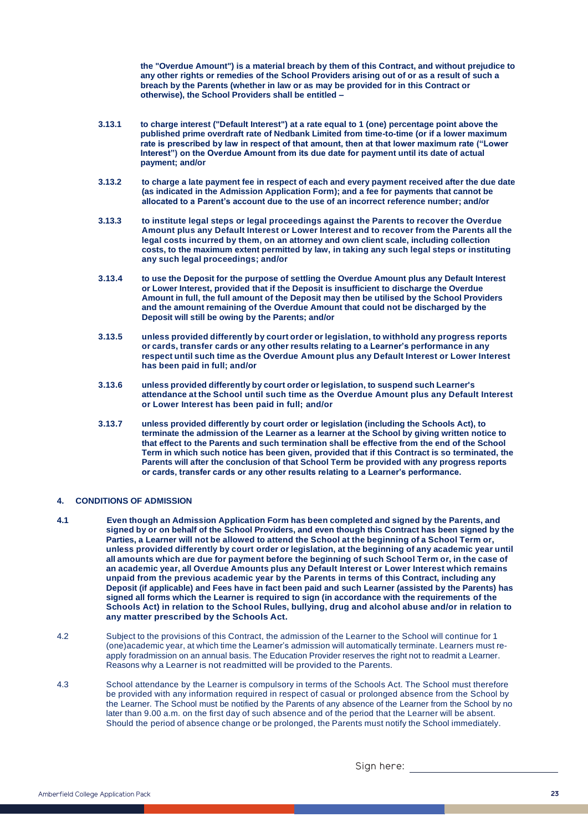**the "Overdue Amount") is a material breach by them of this Contract, and without prejudice to any other rights or remedies of the School Providers arising out of or as a result of such a breach by the Parents (whether in law or as may be provided for in this Contract or otherwise), the School Providers shall be entitled –**

- **3.13.1 to charge interest ("Default Interest") at a rate equal to 1 (one) percentage point above the published prime overdraft rate of Nedbank Limited from time-to-time (or if a lower maximum rate is prescribed by law in respect of that amount, then at that lower maximum rate ("Lower Interest") on the Overdue Amount from its due date for payment until its date of actual payment; and/or**
- **3.13.2 to charge a late payment fee in respect of each and every payment received after the due date (as indicated in the Admission Application Form); and a fee for payments that cannot be allocated to a Parent's account due to the use of an incorrect reference number; and/or**
- **3.13.3 to institute legal steps or legal proceedings against the Parents to recover the Overdue Amount plus any Default Interest or Lower Interest and to recover from the Parents all the legal costs incurred by them, on an attorney and own client scale, including collection costs, to the maximum extent permitted by law, in taking any such legal steps or instituting any such legal proceedings; and/or**
- **3.13.4 to use the Deposit for the purpose of settling the Overdue Amount plus any Default Interest or Lower Interest, provided that if the Deposit is insufficient to discharge the Overdue Amount in full, the full amount of the Deposit may then be utilised by the School Providers and the amount remaining of the Overdue Amount that could not be discharged by the Deposit will still be owing by the Parents; and/or**
- **3.13.5 unless provided differently by court order or legislation, to withhold any progress reports or cards, transfer cards or any other results relating to a Learner's performance in any respect until such time as the Overdue Amount plus any Default Interest or Lower Interest has been paid in full; and/or**
- **3.13.6 unless provided differently by court order or legislation, to suspend such Learner's attendance at the School until such time as the Overdue Amount plus any Default Interest or Lower Interest has been paid in full; and/or**
- **3.13.7 unless provided differently by court order or legislation (including the Schools Act), to terminate the admission of the Learner as a learner at the School by giving written notice to that effect to the Parents and such termination shall be effective from the end of the School Term in which such notice has been given, provided that if this Contract is so terminated, the Parents will after the conclusion of that School Term be provided with any progress reports or cards, transfer cards or any other results relating to a Learner's performance.**

### **4. CONDITIONS OF ADMISSION**

- **4.1 Even though an Admission Application Form has been completed and signed by the Parents, and signed by or on behalf of the School Providers, and even though this Contract has been signed by the Parties, a Learner will not be allowed to attend the School at the beginning of a School Term or, unless provided differently by court order or legislation, at the beginning of any academic year until all amounts which are due for payment before the beginning of such School Term or, in the case of an academic year, all Overdue Amounts plus any Default Interest or Lower Interest which remains unpaid from the previous academic year by the Parents in terms of this Contract, including any Deposit (if applicable) and Fees have in fact been paid and such Learner (assisted by the Parents) has signed all forms which the Learner is required to sign (in accordance with the requirements of the Schools Act) in relation to the School Rules, bullying, drug and alcohol abuse and/or in relation to any matter prescribed by the Schools Act.**
- $4.2$ Subject to the provisions of this Contract, the admission of the Learner to the School will continue for 1 (one) academic year, at which time the Learner's admission will automatically terminate. Learners must reapply for admission on an annual basis. The Education Provider reserves the right not to readmit a Learner. Reasons why a Learner is not readmitted will be provided to the Parents.
- 4.3 School attendance by the Learner is compulsory in terms of the Schools Act. The School must therefore be provided with any information required in respect of casual or prolonged absence from the School by the Learner. The School must be notified by the Parents of any absence of the Learner from the School by no later than 9.00 a.m. on the first day of such absence and of the period that the Learner will be absent. Should the period of absence change or be prolonged, the Parents must notify the School immediately.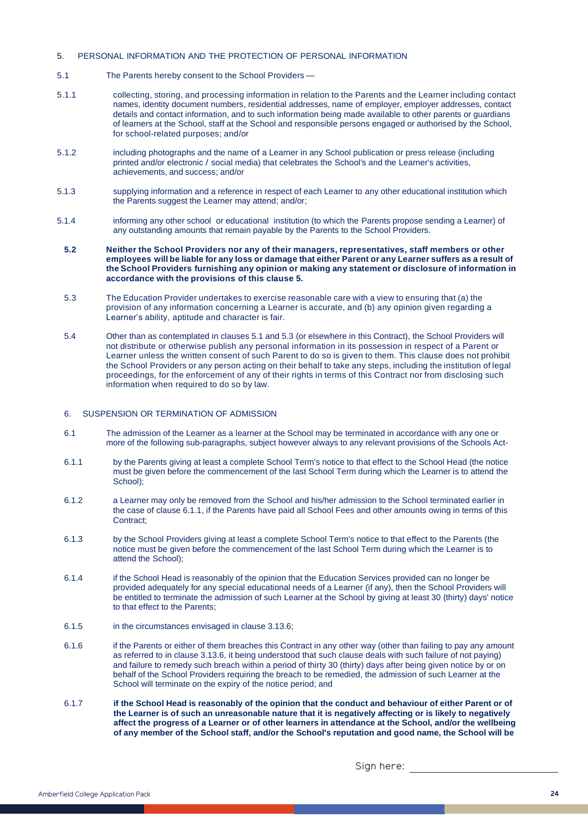## 5. PERSONAL INFORMATION AND THE PROTECTION OF PERSONAL INFORMATION

- 5.1 The Parents hereby consent to the School Providers –
- 5.1.1 collecting, storing, and processing information in relation to the Parents and the Learner including contact names, identity document numbers, residential addresses, name of employer, employer addresses, contact details and contact information, and to such information being made available to other parents or guardians of learners at the School, staff at the School and responsible persons engaged or authorised by the School, for school-related purposes; and/or
- 5.1.2 including photographs and the name of a Learner in any School publication or press release (including printed and/or electronic / social media) that celebrates the School's and the Learner's activities, achievements, and success; and/or
- 5.1.3 supplying information and a reference in respect of each Learner to any other educational institution which the Parents suggest the Learner may attend; and/or;
- 5.1.4 informing any other school or educational institution (to which the Parents propose sending a Learner) of any outstanding amounts that remain payable by the Parents to the School Providers.
- **5.2 Neither the School Providers nor any of their managers, representatives, staff members or other employees will be liable for any loss or damage that either Parent or any Learner suffers as a result of the School Providers furnishing any opinion or making any statement or disclosure of information in accordance with the provisions of this clause 5.**
- 5.3 The Education Provider undertakes to exercise reasonable care with a view to ensuring that (a) the provision of any information concerning a Learner is accurate, and (b) any opinion given regarding a Learner's ability, aptitude and character is fair.
- 5.4 Other than as contemplated in clauses 5.1 and 5.3 (or elsewhere in this Contract), the School Providers will not distribute or otherwise publish any personal information in its possession in respect of a Parent or Learner unless the written consent of such Parent to do so is given to them. This clause does not prohibit the School Providers or any person acting on their behalf to take any steps, including the institution of legal proceedings, for the enforcement of any of their rights in terms of this Contract nor from disclosing such information when required to do so by law.

### 6. SUSPENSION OR TERMINATION OF ADMISSION

- 6.1 The admission of the Learner as a learner at the School may be terminated in accordance with any one or more of the following sub-paragraphs, subject however always to any relevant provisions of the Schools Act-
- 6.1.1 by the Parents giving at least a complete School Term's notice to that effect to the School Head (the notice must be given before the commencement of the last School Term during which the Learner is to attend the School);
- 6.1.2 a Learner may only be removed from the School and his/her admission to the School terminated earlier in the case of clause 6.1.1, if the Parents have paid all School Fees and other amounts owing in terms of this Contract:
- 6.1.3 by the School Providers giving at least a complete School Term's notice to that effect to the Parents (the notice must be given before the commencement of the last School Term during which the Learner is to attend the School);
- 6.1.4 if the School Head is reasonably of the opinion that the Education Services provided can no longer be provided adequately for any special educational needs of a Learner (if any), then the School Providers will be entitled to terminate the admission of such Learner at the School by giving at least 30 (thirty) days' notice to that effect to the Parents;
- 6.1.5 in the circumstances envisaged in clause 3.13.6;
- 6.1.6 if the Parents or either of them breaches this Contract in any other way (other than failing to pay any amount as referred to in clause 3.13.6, it being understood that such clause deals with such failure of not paying) and failure to remedy such breach within a period of thirty 30 (thirty) days after being given notice by or on behalf of the School Providers requiring the breach to be remedied, the admission of such Learner at the School will terminate on the expiry of the notice period; and
- 6.1.7 **if the School Head is reasonably of the opinion that the conduct and behaviour of either Parent or of the Learner is of such an unreasonable nature that it is negatively affecting or is likely to negatively affect the progress of a Learner or of other learners in attendance at the School, and/or the wellbeing of any member of the School staff, and/or the School's reputation and good name, the School will be**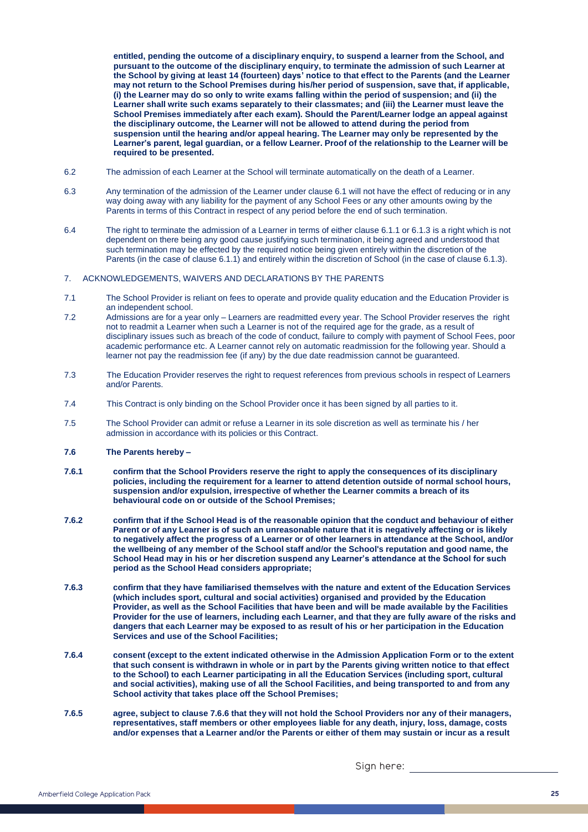**entitled, pending the outcome of a disciplinary enquiry, to suspend a learner from the School, and pursuant to the outcome of the disciplinary enquiry, to terminate the admission of such Learner at the School by giving at least 14 (fourteen) days' notice to that effect to the Parents (and the Learner may not return to the School Premises during his/her period of suspension, save that, if applicable, (i) the Learner may do so only to write exams falling within the period of suspension; and (ii) the Learner shall write such exams separately to their classmates; and (iii) the Learner must leave the School Premises immediately after each exam). Should the Parent/Learner lodge an appeal against the disciplinary outcome, the Learner will not be allowed to attend during the period from suspension until the hearing and/or appeal hearing. The Learner may only be represented by the Learner's parent, legal guardian, or a fellow Learner. Proof of the relationship to the Learner will be required to be presented.**

- 6.2 The admission of each Learner at the School will terminate automatically on the death of a Learner.
- 6.3 Any termination of the admission of the Learner under clause 6.1 will not have the effect of reducing or in any way doing away with any liability for the payment of any School Fees or any other amounts owing by the Parents in terms of this Contract in respect of any period before the end of such termination.
- 6.4 The right to terminate the admission of a Learner in terms of either clause 6.1.1 or 6.1.3 is a right which is not dependent on there being any good cause justifying such termination, it being agreed and understood that such termination may be effected by the required notice being given entirely within the discretion of the Parents (in the case of clause 6.1.1) and entirely within the discretion of School (in the case of clause 6.1.3).
- 7. ACKNOWLEDGEMENTS, WAIVERS AND DECLARATIONS BY THE PARENTS
- 7.1 The School Provider is reliant on fees to operate and provide quality education and the Education Provider is an independent school.
- 7.2 Admissions are for a year only – Learners are readmitted every year. The School Provider reserves the right not to readmit a Learner when such a Learner is not of the required age for the grade, as a result of disciplinary issues such as breach of the code of conduct, failure to comply with payment of School Fees, poor academic performance etc. A Learner cannot rely on automatic readmission for the following year. Should a learner not pay the readmission fee (if any) by the due date readmission cannot be guaranteed.
- 7.3 The Education Provider reserves the right to request references from previous schools in respect of Learners and/or Parents.
- 7.4 This Contract is only binding on the School Provider once it has been signed by all parties to it.
- 7.5 The School Provider can admit or refuse a Learner in its sole discretion as well as terminate his / her admission in accordance with its policies or this Contract.
- **7.6 The Parents hereby –**
- **7.6.1 confirm that the School Providers reserve the right to apply the consequences of its disciplinary policies, including the requirement for a learner to attend detention outside of normal school hours, suspension and/or expulsion, irrespective of whether the Learner commits a breach of its behavioural code on or outside of the School Premises;**
- **7.6.2 confirm that if the School Head is of the reasonable opinion that the conduct and behaviour of either Parent or of any Learner is of such an unreasonable nature that it is negatively affecting or is likely to negatively affect the progress of a Learner or of other learners in attendance at the School, and/or the wellbeing of any member of the School staff and/or the School's reputation and good name, the School Head may in his or her discretion suspend any Learner's attendance at the School for such period as the School Head considers appropriate;**
- **7.6.3 confirm that they have familiarised themselves with the nature and extent of the Education Services (which includes sport, cultural and social activities) organised and provided by the Education Provider, as well as the School Facilities that have been and will be made available by the Facilities Provider for the use of learners, including each Learner, and that they are fully aware of the risks and dangers that each Learner may be exposed to as result of his or her participation in the Education Services and use of the School Facilities;**
- **7.6.4 consent (except to the extent indicated otherwise in the Admission Application Form or to the extent that such consent is withdrawn in whole or in part by the Parents giving written notice to that effect to the School) to each Learner participating in all the Education Services (including sport, cultural and social activities), making use of all the School Facilities, and being transported to and from any School activity that takes place off the School Premises;**
- **7.6.5 agree, subject to clause 7.6.6 that they will not hold the School Providers nor any of their managers, representatives, staff members or other employees liable for any death, injury, loss, damage, costs and/or expenses that a Learner and/or the Parents or either of them may sustain or incur as a result**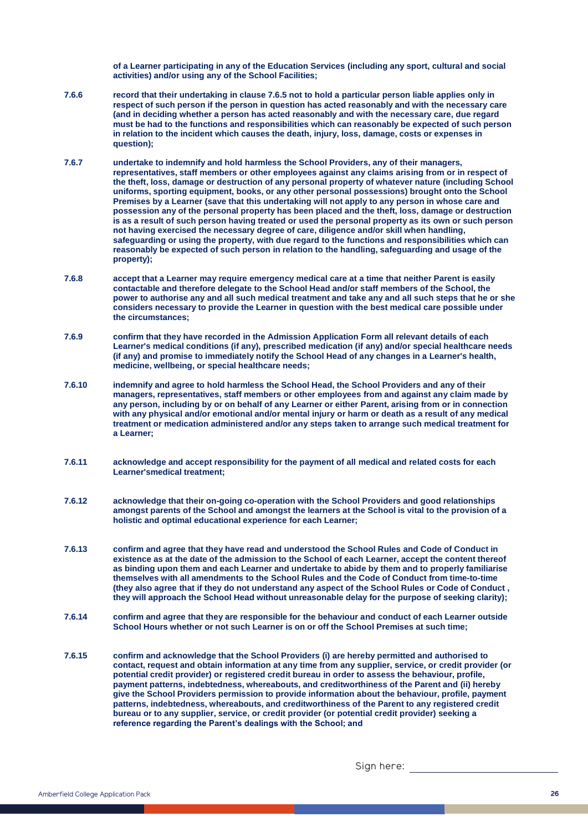**of a Learner participating in any of the Education Services (including any sport, cultural and social activities) and/or using any of the School Facilities;** 

- **7.6.6 record that their undertaking in clause 7.6.5 not to hold a particular person liable applies only in respect of such person if the person in question has acted reasonably and with the necessary care (and in deciding whether a person has acted reasonably and with the necessary care, due regard must be had to the functions and responsibilities which can reasonably be expected of such person in relation to the incident which causes the death, injury, loss, damage, costs or expenses in question);**
- **7.6.7 undertake to indemnify and hold harmless the School Providers, any of their managers, representatives, staff members or other employees against any claims arising from or in respect of the theft, loss, damage or destruction of any personal property of whatever nature (including School uniforms, sporting equipment, books, or any other personal possessions) brought onto the School Premises by a Learner (save that this undertaking will not apply to any person in whose care and possession any of the personal property has been placed and the theft, loss, damage or destruction is as a result of such person having treated or used the personal property as its own or such person not having exercised the necessary degree of care, diligence and/or skill when handling, safeguarding or using the property, with due regard to the functions and responsibilities which can reasonably be expected of such person in relation to the handling, safeguarding and usage of the property);**
- **7.6.8 accept that a Learner may require emergency medical care at a time that neither Parent is easily contactable and therefore delegate to the School Head and/or staff members of the School, the power to authorise any and all such medical treatment and take any and all such steps that he or she considers necessary to provide the Learner in question with the best medical care possible under the circumstances;**
- **7.6.9 confirm that they have recorded in the Admission Application Form all relevant details of each Learner's medical conditions (if any), prescribed medication (if any) and/or special healthcare needs (if any) and promise to immediately notify the School Head of any changes in a Learner's health, medicine, wellbeing, or special healthcare needs;**
- **7.6.10 indemnify and agree to hold harmless the School Head, the School Providers and any of their managers, representatives, staff members or other employees from and against any claim made by any person, including by or on behalf of any Learner or either Parent, arising from or in connection with any physical and/or emotional and/or mental injury or harm or death as a result of any medical treatment or medication administered and/or any steps taken to arrange such medical treatment for a Learner;**
- **7.6.11 acknowledge and accept responsibility for the payment of all medical and related costs for each Learner'smedical treatment;**
- **7.6.12 acknowledge that their on-going co-operation with the School Providers and good relationships amongst parents of the School and amongst the learners at the School is vital to the provision of a holistic and optimal educational experience for each Learner;**
- **7.6.13 confirm and agree that they have read and understood the School Rules and Code of Conduct in existence as at the date of the admission to the School of each Learner, accept the content thereof as binding upon them and each Learner and undertake to abide by them and to properly familiarise themselves with all amendments to the School Rules and the Code of Conduct from time-to-time (they also agree that if they do not understand any aspect of the School Rules or Code of Conduct , they will approach the School Head without unreasonable delay for the purpose of seeking clarity);**
- **7.6.14 confirm and agree that they are responsible for the behaviour and conduct of each Learner outside School Hours whether or not such Learner is on or off the School Premises at such time;**
- **7.6.15 confirm and acknowledge that the School Providers (i) are hereby permitted and authorised to contact, request and obtain information at any time from any supplier, service, or credit provider (or potential credit provider) or registered credit bureau in order to assess the behaviour, profile, payment patterns, indebtedness, whereabouts, and creditworthiness of the Parent and (ii) hereby give the School Providers permission to provide information about the behaviour, profile, payment patterns, indebtedness, whereabouts, and creditworthiness of the Parent to any registered credit bureau or to any supplier, service, or credit provider (or potential credit provider) seeking a reference regarding the Parent's dealings with the School; and**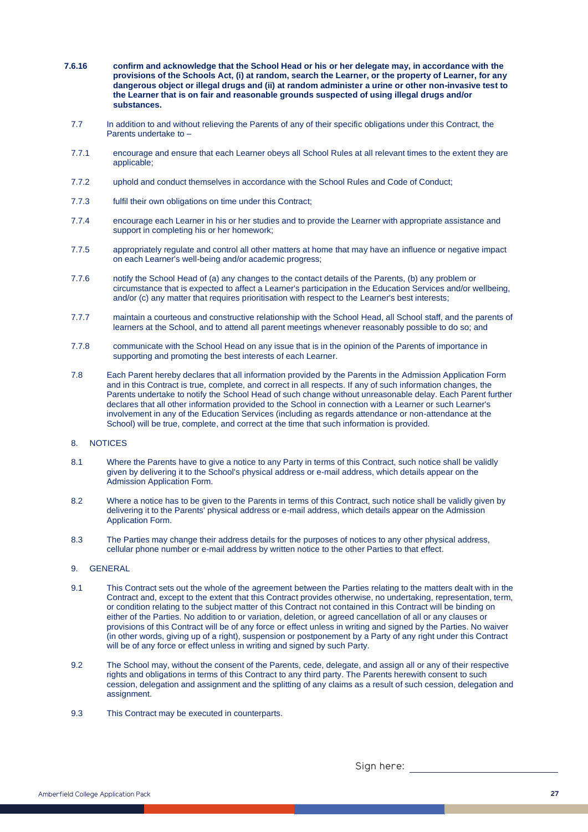- **7.6.16 confirm and acknowledge that the School Head or his or her delegate may, in accordance with the provisions of the Schools Act, (i) at random, search the Learner, or the property of Learner, for any dangerous object or illegal drugs and (ii) at random administer a urine or other non-invasive test to the Learner that is on fair and reasonable grounds suspected of using illegal drugs and/or substances.** 
	- 7.7 In addition to and without relieving the Parents of any of their specific obligations under this Contract, the Parents undertake to –
	- 7.7.1 encourage and ensure that each Learner obeys all School Rules at all relevant times to the extent they are applicable;
	- 7.7.2 uphold and conduct themselves in accordance with the School Rules and Code of Conduct;
	- 7.7.3 fulfil their own obligations on time under this Contract;
	- 7.7.4 encourage each Learner in his or her studies and to provide the Learner with appropriate assistance and support in completing his or her homework;
	- 7.7.5 appropriately regulate and control all other matters at home that may have an influence or negative impact on each Learner's well-being and/or academic progress;
	- 7.7.6 notify the School Head of (a) any changes to the contact details of the Parents, (b) any problem or circumstance that is expected to affect a Learner's participation in the Education Services and/or wellbeing, and/or (c) any matter that requires prioritisation with respect to the Learner's best interests;
	- 7.7.7 maintain a courteous and constructive relationship with the School Head, all School staff, and the parents of learners at the School, and to attend all parent meetings whenever reasonably possible to do so; and
	- 7.7.8 communicate with the School Head on any issue that is in the opinion of the Parents of importance in supporting and promoting the best interests of each Learner.
	- 7.8 Each Parent hereby declares that all information provided by the Parents in the Admission Application Form and in this Contract is true, complete, and correct in all respects. If any of such information changes, the Parents undertake to notify the School Head of such change without unreasonable delay. Each Parent further declares that all other information provided to the School in connection with a Learner or such Learner's involvement in any of the Education Services (including as regards attendance or non-attendance at the School) will be true, complete, and correct at the time that such information is provided.

### 8. NOTICES

- 8.1 Where the Parents have to give a notice to any Party in terms of this Contract, such notice shall be validly given by delivering it to the School's physical address or e-mail address, which details appear on the Admission Application Form.
- 8.2 Where a notice has to be given to the Parents in terms of this Contract, such notice shall be validly given by delivering it to the Parents' physical address or e-mail address, which details appear on the Admission Application Form.
- 8.3 The Parties may change their address details for the purposes of notices to any other physical address, cellular phone number or e-mail address by written notice to the other Parties to that effect.

### 9. GENERAL

- 9.1 This Contract sets out the whole of the agreement between the Parties relating to the matters dealt with in the Contract and, except to the extent that this Contract provides otherwise, no undertaking, representation, term, or condition relating to the subject matter of this Contract not contained in this Contract will be binding on either of the Parties. No addition to or variation, deletion, or agreed cancellation of all or any clauses or provisions of this Contract will be of any force or effect unless in writing and signed by the Parties. No waiver (in other words, giving up of a right), suspension or postponement by a Party of any right under this Contract will be of any force or effect unless in writing and signed by such Party.
- 9.2 The School may, without the consent of the Parents, cede, delegate, and assign all or any of their respective rights and obligations in terms of this Contract to any third party. The Parents herewith consent to such cession, delegation and assignment and the splitting of any claims as a result of such cession, delegation and assignment.
- 9.3 This Contract may be executed in counterparts.